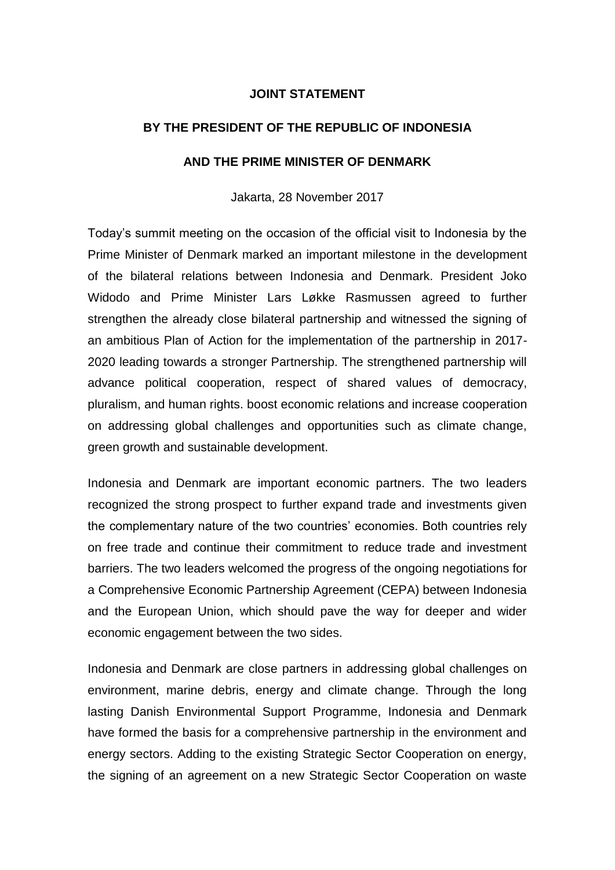## **JOINT STATEMENT**

## **BY THE PRESIDENT OF THE REPUBLIC OF INDONESIA**

## **AND THE PRIME MINISTER OF DENMARK**

Jakarta, 28 November 2017

Today's summit meeting on the occasion of the official visit to Indonesia by the Prime Minister of Denmark marked an important milestone in the development of the bilateral relations between Indonesia and Denmark. President Joko Widodo and Prime Minister Lars Løkke Rasmussen agreed to further strengthen the already close bilateral partnership and witnessed the signing of an ambitious Plan of Action for the implementation of the partnership in 2017- 2020 leading towards a stronger Partnership. The strengthened partnership will advance political cooperation, respect of shared values of democracy, pluralism, and human rights. boost economic relations and increase cooperation on addressing global challenges and opportunities such as climate change, green growth and sustainable development.

Indonesia and Denmark are important economic partners. The two leaders recognized the strong prospect to further expand trade and investments given the complementary nature of the two countries' economies. Both countries rely on free trade and continue their commitment to reduce trade and investment barriers. The two leaders welcomed the progress of the ongoing negotiations for a Comprehensive Economic Partnership Agreement (CEPA) between Indonesia and the European Union, which should pave the way for deeper and wider economic engagement between the two sides.

Indonesia and Denmark are close partners in addressing global challenges on environment, marine debris, energy and climate change. Through the long lasting Danish Environmental Support Programme, Indonesia and Denmark have formed the basis for a comprehensive partnership in the environment and energy sectors. Adding to the existing Strategic Sector Cooperation on energy, the signing of an agreement on a new Strategic Sector Cooperation on waste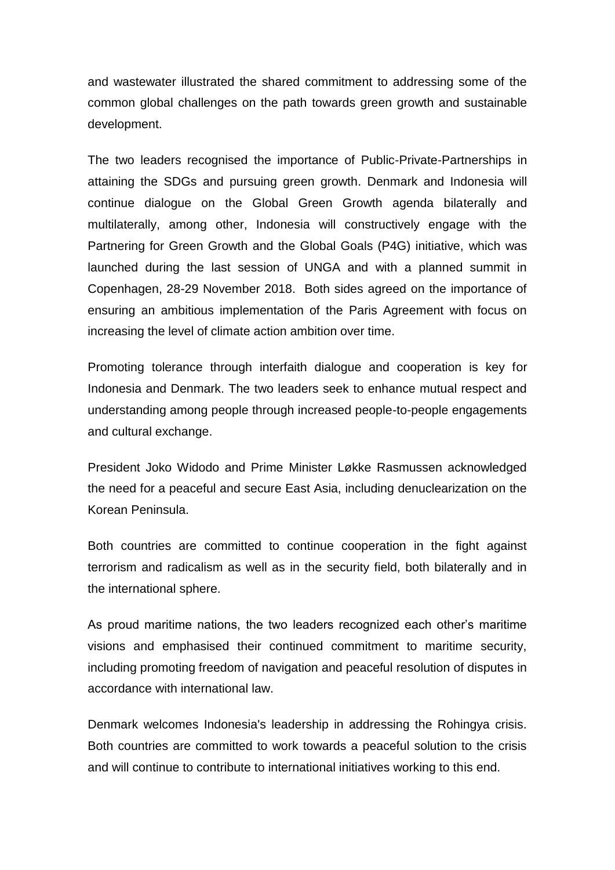and wastewater illustrated the shared commitment to addressing some of the common global challenges on the path towards green growth and sustainable development.

The two leaders recognised the importance of Public-Private-Partnerships in attaining the SDGs and pursuing green growth. Denmark and Indonesia will continue dialogue on the Global Green Growth agenda bilaterally and multilaterally, among other, Indonesia will constructively engage with the Partnering for Green Growth and the Global Goals (P4G) initiative, which was launched during the last session of UNGA and with a planned summit in Copenhagen, 28-29 November 2018. Both sides agreed on the importance of ensuring an ambitious implementation of the Paris Agreement with focus on increasing the level of climate action ambition over time.

Promoting tolerance through interfaith dialogue and cooperation is key for Indonesia and Denmark. The two leaders seek to enhance mutual respect and understanding among people through increased people-to-people engagements and cultural exchange.

President Joko Widodo and Prime Minister Løkke Rasmussen acknowledged the need for a peaceful and secure East Asia, including denuclearization on the Korean Peninsula.

Both countries are committed to continue cooperation in the fight against terrorism and radicalism as well as in the security field, both bilaterally and in the international sphere.

As proud maritime nations, the two leaders recognized each other's maritime visions and emphasised their continued commitment to maritime security, including promoting freedom of navigation and peaceful resolution of disputes in accordance with international law.

Denmark welcomes Indonesia's leadership in addressing the Rohingya crisis. Both countries are committed to work towards a peaceful solution to the crisis and will continue to contribute to international initiatives working to this end.